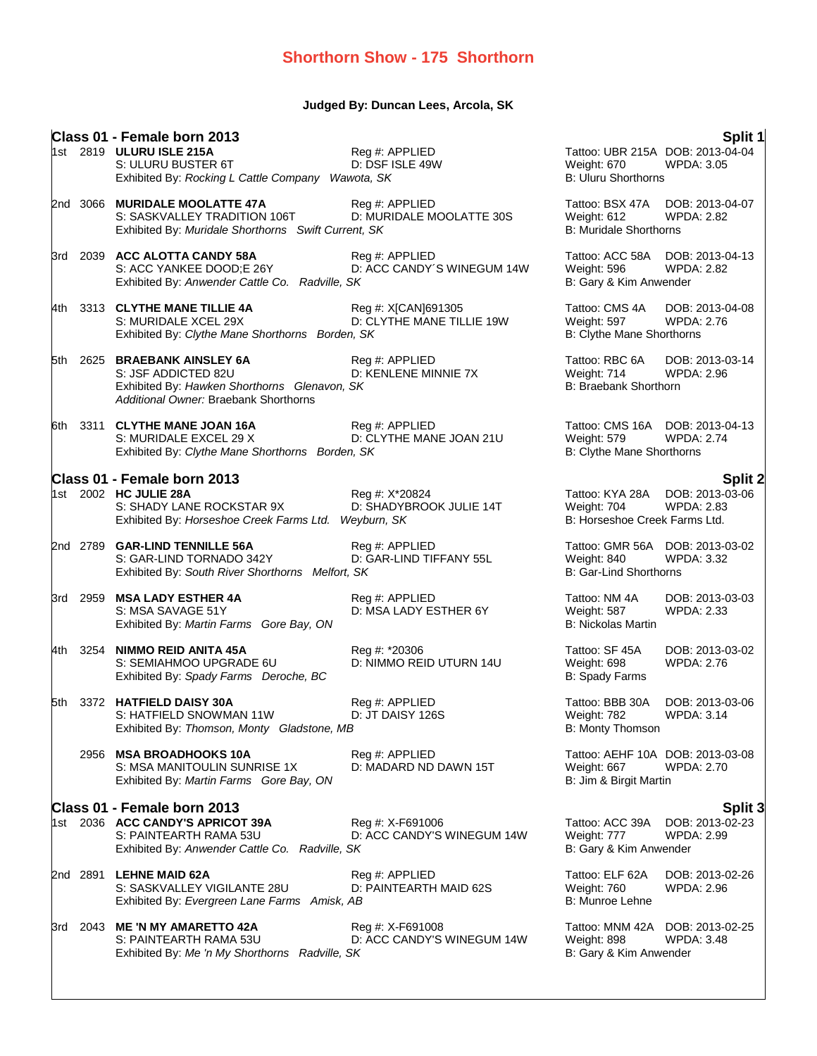## **Judged By: Duncan Lees, Arcola, SK**

|     |          | Class 01 - Female born 2013                                                                                                                  |                                                  |                                                                                 | Split 1                                         |
|-----|----------|----------------------------------------------------------------------------------------------------------------------------------------------|--------------------------------------------------|---------------------------------------------------------------------------------|-------------------------------------------------|
|     |          | 1st 2819 ULURU ISLE 215A<br>S: ULURU BUSTER 6T<br>Exhibited By: Rocking L Cattle Company Wawota, SK                                          | Reg #: APPLIED<br>D: DSF ISLE 49W                | Tattoo: UBR 215A DOB: 2013-04-04<br>Weight: 670<br><b>B: Uluru Shorthorns</b>   | <b>WPDA: 3.05</b>                               |
|     |          | 2nd 3066 MURIDALE MOOLATTE 47A<br>S: SASKVALLEY TRADITION 106T<br>Exhibited By: Muridale Shorthorns Swift Current, SK                        | Reg #: APPLIED<br>D: MURIDALE MOOLATTE 30S       | Tattoo: BSX 47A<br>Weight: 612<br><b>B: Muridale Shorthorns</b>                 | DOB: 2013-04-07<br><b>WPDA: 2.82</b>            |
|     |          | 3rd 2039 ACC ALOTTA CANDY 58A<br>S: ACC YANKEE DOOD;E 26Y<br>Exhibited By: Anwender Cattle Co. Radville, SK                                  | Reg #: APPLIED<br>D: ACC CANDY'S WINEGUM 14W     | Tattoo: ACC 58A  DOB: 2013-04-13<br>Weight: 596<br>B: Gary & Kim Anwender       | <b>WPDA: 2.82</b>                               |
|     |          | 4th 3313 CLYTHE MANE TILLIE 4A<br>S: MURIDALE XCEL 29X<br>Exhibited By: Clythe Mane Shorthorns Borden, SK                                    | Reg #: X[CAN]691305<br>D: CLYTHE MANE TILLIE 19W | Tattoo: CMS 4A<br>Weight: 597<br>B: Clythe Mane Shorthorns                      | DOB: 2013-04-08<br><b>WPDA: 2.76</b>            |
|     |          | 5th 2625 BRAEBANK AINSLEY 6A<br>S: JSF ADDICTED 82U<br>Exhibited By: Hawken Shorthorns Glenavon, SK<br>Additional Owner: Braebank Shorthorns | Reg #: APPLIED<br>D: KENLENE MINNIE 7X           | Tattoo: RBC 6A<br>Weight: 714<br><b>B: Braebank Shorthorn</b>                   | DOB: 2013-03-14<br>WPDA: 2.96                   |
|     |          | 6th 3311 CLYTHE MANE JOAN 16A<br>S: MURIDALE EXCEL 29 X<br>Exhibited By: Clythe Mane Shorthorns Borden, SK                                   | Reg #: APPLIED<br>D: CLYTHE MANE JOAN 21U        | Tattoo: CMS 16A DOB: 2013-04-13<br>Weight: 579<br>B: Clythe Mane Shorthorns     | <b>WPDA: 2.74</b>                               |
|     |          | Class 01 - Female born 2013                                                                                                                  |                                                  |                                                                                 | <b>Split 2</b>                                  |
|     |          | 1st 2002 HC JULIE 28A<br>S: SHADY LANE ROCKSTAR 9X<br>Exhibited By: Horseshoe Creek Farms Ltd. Weyburn, SK                                   | Reg #: X*20824<br>D: SHADYBROOK JULIE 14T        | Tattoo: KYA 28A<br>Weight: 704<br>B: Horseshoe Creek Farms Ltd.                 | DOB: 2013-03-06<br><b>WPDA: 2.83</b>            |
|     |          | 2nd 2789 GAR-LIND TENNILLE 56A<br>S: GAR-LIND TORNADO 342Y<br>Exhibited By: South River Shorthorns Melfort, SK                               | Reg #: APPLIED<br>D: GAR-LIND TIFFANY 55L        | Tattoo: GMR 56A DOB: 2013-03-02<br>Weight: 840<br><b>B: Gar-Lind Shorthorns</b> | WPDA: 3.32                                      |
|     | 3rd 2959 | <b>MSA LADY ESTHER 4A</b><br>S: MSA SAVAGE 51Y<br>Exhibited By: Martin Farms Gore Bay, ON                                                    | Reg #: APPLIED<br>D: MSA LADY ESTHER 6Y          | Tattoo: NM 4A<br>Weight: 587<br><b>B: Nickolas Martin</b>                       | DOB: 2013-03-03<br><b>WPDA: 2.33</b>            |
|     |          | 4th 3254 NIMMO REID ANITA 45A<br>S: SEMIAHMOO UPGRADE 6U<br>Exhibited By: Spady Farms Deroche, BC                                            | Reg #: *20306<br>D: NIMMO REID UTURN 14U         | Tattoo: SF 45A<br>Weight: 698<br>B: Spady Farms                                 | DOB: 2013-03-02<br><b>WPDA: 2.76</b>            |
| 5th |          | 3372 HATFIELD DAISY 30A<br>S: HATFIELD SNOWMAN 11W<br>Exhibited By: Thomson, Monty Gladstone, MB                                             | Reg #: APPLIED<br>D: JT DAISY 126S               | Tattoo: BBB 30A<br>Weight: 782<br>B: Monty Thomson                              | DOB: 2013-03-06<br><b>WPDA: 3.14</b>            |
|     |          | 2956 MSA BROADHOOKS 10A<br>S: MSA MANITOULIN SUNRISE 1X<br>Exhibited By: Martin Farms Gore Bay, ON                                           | Reg #: APPLIED<br>D: MADARD ND DAWN 15T          | Tattoo: AEHF 10A DOB: 2013-03-08<br>Weight: 667<br>B: Jim & Birgit Martin       | <b>WPDA: 2.70</b>                               |
|     |          | Class 01 - Female born 2013<br>1st 2036 ACC CANDY'S APRICOT 39A<br>S: PAINTEARTH RAMA 53U<br>Exhibited By: Anwender Cattle Co. Radville, SK  | Reg #: X-F691006<br>D: ACC CANDY'S WINEGUM 14W   | Tattoo: ACC 39A<br>Weight: 777<br>B: Gary & Kim Anwender                        | <b>Split 3</b><br>DOB: 2013-02-23<br>WPDA: 2.99 |
|     |          | 2nd 2891 LEHNE MAID 62A<br>S: SASKVALLEY VIGILANTE 28U<br>Exhibited By: Evergreen Lane Farms Amisk, AB                                       | Reg #: APPLIED<br>D: PAINTEARTH MAID 62S         | Tattoo: ELF 62A<br>Weight: 760<br>B: Munroe Lehne                               | DOB: 2013-02-26<br>WPDA: 2.96                   |
|     |          | 3rd 2043 ME 'N MY AMARETTO 42A<br>S: PAINTEARTH RAMA 53U<br>Exhibited By: Me 'n My Shorthorns Radville, SK                                   | Reg #: X-F691008<br>D: ACC CANDY'S WINEGUM 14W   | Tattoo: MNM 42A DOB: 2013-02-25<br>Weight: 898<br>B: Gary & Kim Anwender        | WPDA: 3.48                                      |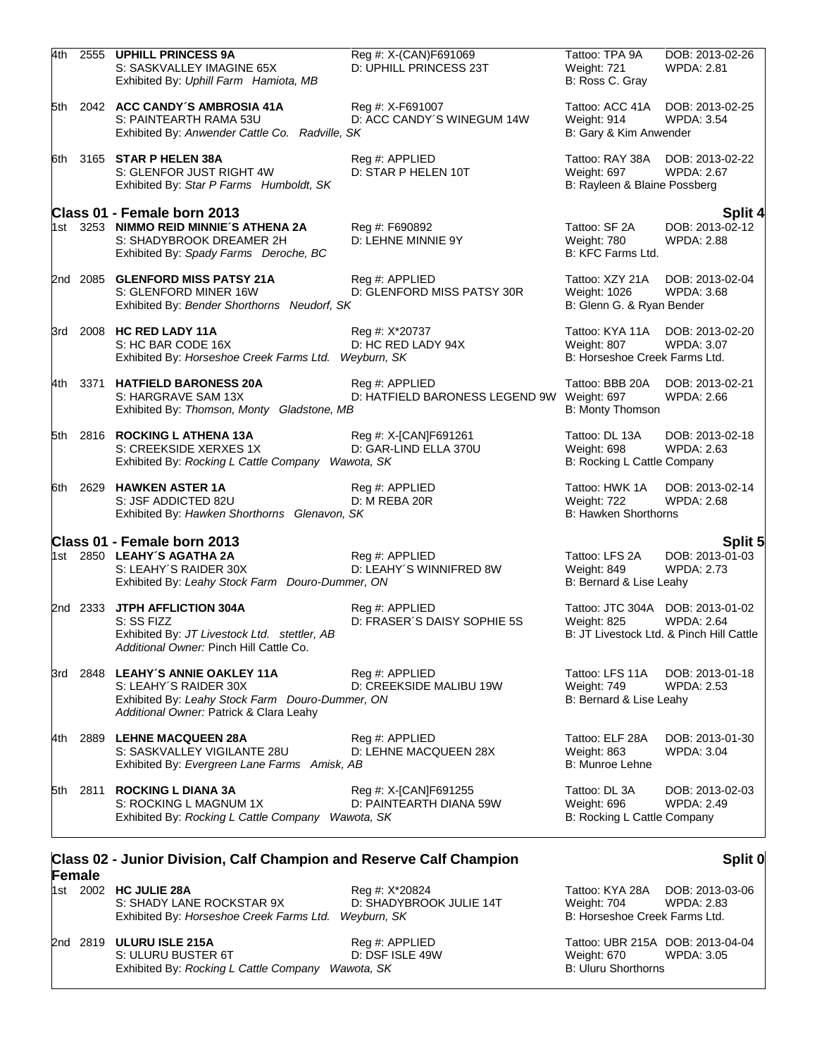|       |          | 4th 2555 UPHILL PRINCESS 9A<br>S: SASKVALLEY IMAGINE 65X<br>Exhibited By: Uphill Farm Hamiota, MB                                                    | Reg #: X-(CAN)F691069<br>D: UPHILL PRINCESS 23T              | Tattoo: TPA 9A<br>Weight: 721<br>B: Ross C. Gray                                | DOB: 2013-02-26<br><b>WPDA: 2.81</b>                          |
|-------|----------|------------------------------------------------------------------------------------------------------------------------------------------------------|--------------------------------------------------------------|---------------------------------------------------------------------------------|---------------------------------------------------------------|
|       |          | 5th 2042 ACC CANDY'S AMBROSIA 41A<br>S: PAINTEARTH RAMA 53U<br>Exhibited By: Anwender Cattle Co. Radville, SK                                        | Reg #: X-F691007<br>D: ACC CANDY'S WINEGUM 14W               | Tattoo: ACC 41A<br>Weight: 914<br>B: Gary & Kim Anwender                        | DOB: 2013-02-25<br><b>WPDA: 3.54</b>                          |
|       |          | 6th 3165 STAR P HELEN 38A<br>S: GLENFOR JUST RIGHT 4W<br>Exhibited By: Star P Farms Humboldt, SK                                                     | Reg #: APPLIED<br>D: STAR P HELEN 10T                        | Tattoo: RAY 38A<br>Weight: 697<br>B: Rayleen & Blaine Possberg                  | DOB: 2013-02-22<br><b>WPDA: 2.67</b>                          |
|       |          | Class 01 - Female born 2013                                                                                                                          |                                                              |                                                                                 | Split 4                                                       |
|       |          | 1st 3253 NIMMO REID MINNIE'S ATHENA 2A<br>S: SHADYBROOK DREAMER 2H<br>Exhibited By: Spady Farms Deroche, BC                                          | Reg #: F690892<br>D: LEHNE MINNIE 9Y                         | Tattoo: SF 2A<br>Weight: 780<br>B: KFC Farms Ltd.                               | DOB: 2013-02-12<br><b>WPDA: 2.88</b>                          |
|       |          | 2nd 2085 GLENFORD MISS PATSY 21A<br>S: GLENFORD MINER 16W<br>Exhibited By: Bender Shorthorns Neudorf, SK                                             | Reg #: APPLIED<br>D: GLENFORD MISS PATSY 30R                 | Tattoo: XZY 21A<br>Weight: 1026<br>B: Glenn G. & Ryan Bender                    | DOB: 2013-02-04<br><b>WPDA: 3.68</b>                          |
|       |          | 3rd 2008 HC RED LADY 11A<br>S: HC BAR CODE 16X<br>Exhibited By: Horseshoe Creek Farms Ltd. Weyburn, SK                                               | Reg #: X*20737<br>D: HC RED LADY 94X                         | Tattoo: KYA 11A DOB: 2013-02-20<br>Weight: 807<br>B: Horseshoe Creek Farms Ltd. | <b>WPDA: 3.07</b>                                             |
| 4th l |          | 3371 HATFIELD BARONESS 20A<br>S: HARGRAVE SAM 13X<br>Exhibited By: Thomson, Monty Gladstone, MB                                                      | Reg #: APPLIED<br>D: HATFIELD BARONESS LEGEND 9W Weight: 697 | Tattoo: BBB 20A<br>B: Monty Thomson                                             | DOB: 2013-02-21<br>WPDA: 2.66                                 |
|       |          | 5th 2816 ROCKING L ATHENA 13A<br>S: CREEKSIDE XERXES 1X<br>Exhibited By: Rocking L Cattle Company Wawota, SK                                         | Reg #: X-[CAN]F691261<br>D: GAR-LIND ELLA 370U               | Tattoo: DL 13A<br>Weight: 698<br>B: Rocking L Cattle Company                    | DOB: 2013-02-18<br><b>WPDA: 2.63</b>                          |
|       |          | 6th 2629 HAWKEN ASTER 1A<br>S: JSF ADDICTED 82U<br>Exhibited By: Hawken Shorthorns Glenavon, SK                                                      | Reg #: APPLIED<br>D: M REBA 20R                              | Tattoo: HWK 1A<br>Weight: 722<br><b>B: Hawken Shorthorns</b>                    | DOB: 2013-02-14<br><b>WPDA: 2.68</b>                          |
|       |          | Class 01 - Female born 2013                                                                                                                          |                                                              |                                                                                 | Split 5                                                       |
|       |          | 1st 2850 LEAHY'S AGATHA 2A<br>S: LEAHY'S RAIDER 30X<br>Exhibited By: Leahy Stock Farm Douro-Dummer, ON                                               | Reg #: APPLIED<br>D: LEAHY'S WINNIFRED 8W                    | Tattoo: LFS 2A<br>Weight: 849<br>B: Bernard & Lise Leahy                        | DOB: 2013-01-03<br><b>WPDA: 2.73</b>                          |
|       | 2nd 2333 | <b>JTPH AFFLICTION 304A</b><br>S: SS FIZZ<br>Exhibited By: JT Livestock Ltd. stettler, AB<br>Additional Owner: Pinch Hill Cattle Co.                 | Reg #: APPLIED<br>D: FRASER'S DAISY SOPHIE 5S                | Tattoo: JTC 304A DOB: 2013-01-02<br>Weight: 825                                 | <b>WPDA: 2.64</b><br>B: JT Livestock Ltd. & Pinch Hill Cattle |
| 3rd   |          | 2848 LEAHY'S ANNIE OAKLEY 11A<br>S: LEAHY'S RAIDER 30X<br>Exhibited By: Leahy Stock Farm Douro-Dummer, ON<br>Additional Owner: Patrick & Clara Leahy | Reg #: APPLIED<br>D: CREEKSIDE MALIBU 19W                    | Tattoo: LFS 11A<br>Weight: 749<br>B: Bernard & Lise Leahy                       | DOB: 2013-01-18<br><b>WPDA: 2.53</b>                          |
| 4th.  | 2889     | <b>LEHNE MACQUEEN 28A</b><br>S: SASKVALLEY VIGILANTE 28U<br>Exhibited By: Evergreen Lane Farms Amisk, AB                                             | Reg #: APPLIED<br>D: LEHNE MACQUEEN 28X                      | Tattoo: ELF 28A<br>Weight: 863<br>B: Munroe Lehne                               | DOB: 2013-01-30<br><b>WPDA: 3.04</b>                          |
| 5th.  | 2811     | <b>ROCKING L DIANA 3A</b><br>S: ROCKING L MAGNUM 1X<br>Exhibited By: Rocking L Cattle Company Wawota, SK                                             | Reg #: X-[CAN]F691255<br>D: PAINTEARTH DIANA 59W             | Tattoo: DL 3A<br>Weight: 696<br>B: Rocking L Cattle Company                     | DOB: 2013-02-03<br>WPDA: 2.49                                 |

# **Class 02 - Junior Division, Calf Champion and Reserve Calf Champion Female**<br>1st 2002 HC JULIE 28A

Exhibited By: *Rocking L Cattle Company Wawota, SK* 

1st 2002 **HC JULIE 2002 2013-04** Tattoo: KYA 28A DOB: 2013-03-06<br>
19 D: SHADYBROOK JULIE 14T Weight: 704 WPDA: 2.83 S: SHADY LANE ROCKSTAR 9X D: SHADYBROOK JULIE 14T Weight: 704 WPDA: 2.83<br>Exhibited By: Horseshoe Creek Farms Ltd. Weyburn, SK B: Horseshoe Creek Farms Ltd. Exhibited By: Horseshoe Creek Farms Ltd. Weyburn, SK 2nd 2819 **ULURU ISLE 215A** Reg #: APPLIED Tattoo: UBR 215A DOB: 2013-04-04 Weight: 670 WPDA: 3.05<br>B: Uluru Shorthorns

### **Split 0**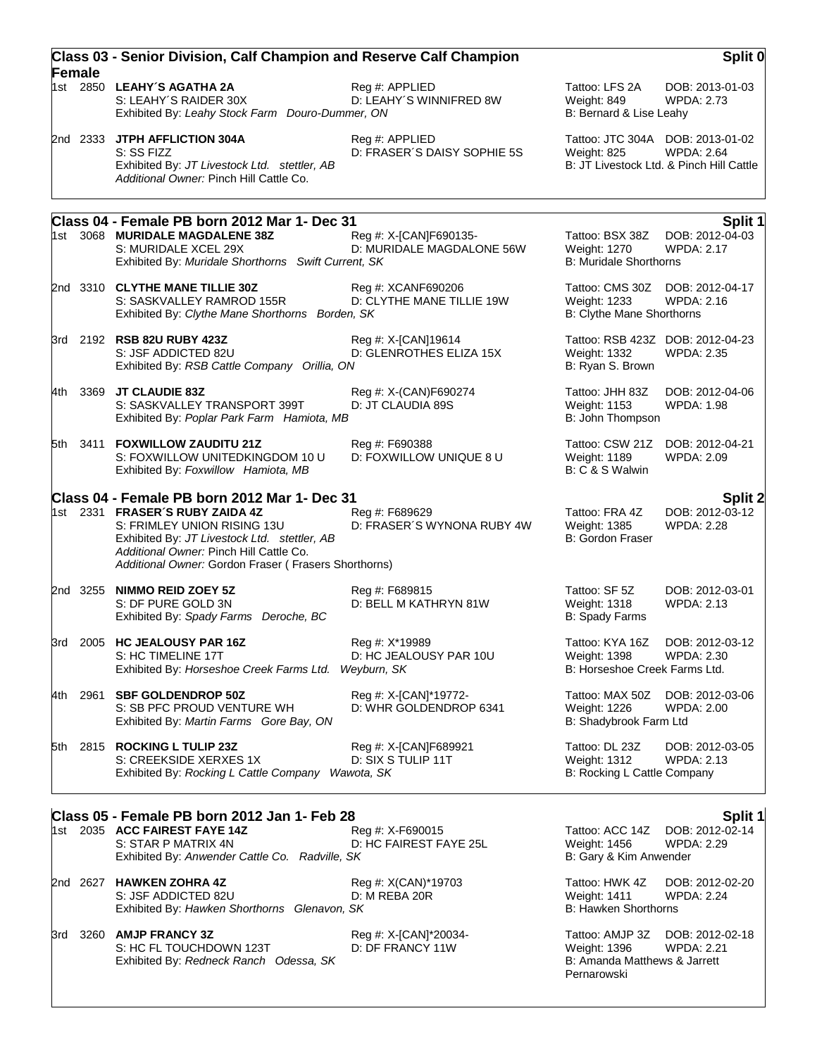|     | Female   | Class 03 - Senior Division, Calf Champion and Reserve Calf Champion                                                                                                                                                                                               |                                                     |                                                                                                | Split 0                                                |
|-----|----------|-------------------------------------------------------------------------------------------------------------------------------------------------------------------------------------------------------------------------------------------------------------------|-----------------------------------------------------|------------------------------------------------------------------------------------------------|--------------------------------------------------------|
|     |          | 1st 2850 LEAHY'S AGATHA 2A<br>S: LEAHY'S RAIDER 30X<br>Exhibited By: Leahy Stock Farm Douro-Dummer, ON                                                                                                                                                            | Reg #: APPLIED<br>D: LEAHY'S WINNIFRED 8W           | Tattoo: LFS 2A<br>Weight: 849<br>B: Bernard & Lise Leahy                                       | DOB: 2013-01-03<br><b>WPDA: 2.73</b>                   |
|     |          | 2nd 2333 JTPH AFFLICTION 304A<br>S: SS FIZZ<br>Exhibited By: JT Livestock Ltd. stettler, AB<br>Additional Owner: Pinch Hill Cattle Co.                                                                                                                            | Reg #: APPLIED<br>D: FRASER'S DAISY SOPHIE 5S       | Tattoo: JTC 304A DOB: 2013-01-02<br>Weight: 825<br>B: JT Livestock Ltd. & Pinch Hill Cattle    | <b>WPDA: 2.64</b>                                      |
|     |          | Class 04 - Female PB born 2012 Mar 1- Dec 31                                                                                                                                                                                                                      |                                                     |                                                                                                |                                                        |
|     |          | 1st 3068 MURIDALE MAGDALENE 38Z<br>S: MURIDALE XCEL 29X<br>Exhibited By: Muridale Shorthorns Swift Current, SK                                                                                                                                                    | Reg #: X-[CAN]F690135-<br>D: MURIDALE MAGDALONE 56W | Tattoo: BSX 38Z<br>Weight: 1270<br><b>B: Muridale Shorthorns</b>                               | Split 1<br>DOB: 2012-04-03<br><b>WPDA: 2.17</b>        |
|     |          | 2nd 3310 CLYTHE MANE TILLIE 30Z<br>S: SASKVALLEY RAMROD 155R<br>Exhibited By: Clythe Mane Shorthorns Borden, SK                                                                                                                                                   | Reg #: XCANF690206<br>D: CLYTHE MANE TILLIE 19W     | Tattoo: CMS 30Z DOB: 2012-04-17<br>Weight: 1233<br>B: Clythe Mane Shorthorns                   | <b>WPDA: 2.16</b>                                      |
|     |          | 3rd 2192 RSB 82U RUBY 423Z<br>S: JSF ADDICTED 82U<br>Exhibited By: RSB Cattle Company Orillia, ON                                                                                                                                                                 | Reg #: X-[CAN]19614<br>D: GLENROTHES ELIZA 15X      | Tattoo: RSB 423Z DOB: 2012-04-23<br>Weight: 1332<br>B: Ryan S. Brown                           | <b>WPDA: 2.35</b>                                      |
|     |          | 4th 3369 JT CLAUDIE 83Z<br>S: SASKVALLEY TRANSPORT 399T<br>Exhibited By: Poplar Park Farm Hamiota, MB                                                                                                                                                             | Reg #: X-(CAN)F690274<br>D: JT CLAUDIA 89S          | Tattoo: JHH 83Z<br>Weight: 1153<br>B: John Thompson                                            | DOB: 2012-04-06<br><b>WPDA: 1.98</b>                   |
|     |          | 5th 3411 FOXWILLOW ZAUDITU 21Z<br>S: FOXWILLOW UNITEDKINGDOM 10 U<br>Exhibited By: Foxwillow Hamiota, MB                                                                                                                                                          | Reg #: F690388<br>D: FOXWILLOW UNIQUE 8 U           | Tattoo: CSW 21Z DOB: 2012-04-21<br>Weight: 1189<br>B: C & S Walwin                             | WPDA: 2.09                                             |
|     |          | Class 04 - Female PB born 2012 Mar 1- Dec 31<br>1st 2331 FRASER'S RUBY ZAIDA 4Z<br>S: FRIMLEY UNION RISING 13U<br>Exhibited By: JT Livestock Ltd. stettler, AB<br>Additional Owner: Pinch Hill Cattle Co.<br>Additional Owner: Gordon Fraser (Frasers Shorthorns) | Reg #: F689629<br>D: FRASER'S WYNONA RUBY 4W        | Tattoo: FRA 4Z<br>Weight: 1385<br><b>B: Gordon Fraser</b>                                      | <b>Split 2</b><br>DOB: 2012-03-12<br><b>WPDA: 2.28</b> |
|     | 2nd 3255 | <b>NIMMO REID ZOEY 5Z</b><br>S: DF PURE GOLD 3N<br>Exhibited By: Spady Farms Deroche, BC                                                                                                                                                                          | Reg #: F689815<br>D: BELL M KATHRYN 81W             | Tattoo: SF 5Z<br>Weight: 1318<br><b>B: Spady Farms</b>                                         | DOB: 2012-03-01<br><b>WPDA: 2.13</b>                   |
|     |          | 3rd 2005 HC JEALOUSY PAR 16Z<br>S: HC TIMELINE 17T<br>Exhibited By: Horseshoe Creek Farms Ltd. Weyburn, SK                                                                                                                                                        | Reg #: X*19989<br>D: HC JEALOUSY PAR 10U            | Tattoo: KYA 16Z<br>Weight: 1398<br>B: Horseshoe Creek Farms Ltd.                               | DOB: 2012-03-12<br>WPDA: 2.30                          |
|     |          | 4th 2961 SBF GOLDENDROP 50Z<br>S: SB PFC PROUD VENTURE WH<br>Exhibited By: Martin Farms Gore Bay, ON                                                                                                                                                              | Reg #: X-[CAN]*19772-<br>D: WHR GOLDENDROP 6341     | Tattoo: MAX 50Z DOB: 2012-03-06<br>Weight: 1226<br>B: Shadybrook Farm Ltd                      | <b>WPDA: 2.00</b>                                      |
|     |          | 5th 2815 ROCKING L TULIP 23Z<br>S: CREEKSIDE XERXES 1X<br>Exhibited By: Rocking L Cattle Company Wawota, SK                                                                                                                                                       | Reg #: X-[CAN]F689921<br>D: SIX S TULIP 11T         | Tattoo: DL 23Z<br>Weight: 1312<br>B: Rocking L Cattle Company                                  | DOB: 2012-03-05<br><b>WPDA: 2.13</b>                   |
|     |          | Class 05 - Female PB born 2012 Jan 1- Feb 28<br>1st 2035 ACC FAIREST FAYE 14Z<br>S: STAR P MATRIX 4N<br>Exhibited By: Anwender Cattle Co. Radville, SK                                                                                                            | Reg #: X-F690015<br>D: HC FAIREST FAYE 25L          | Tattoo: ACC 14Z DOB: 2012-02-14<br>Weight: 1456<br>B: Gary & Kim Anwender                      | Split 1<br>WPDA: 2.29                                  |
|     |          | 2nd 2627 HAWKEN ZOHRA 4Z<br>S: JSF ADDICTED 82U<br>Exhibited By: Hawken Shorthorns Glenavon, SK                                                                                                                                                                   | Reg #: X(CAN)*19703<br>D: M REBA 20R                | Tattoo: HWK 4Z<br><b>Weight: 1411</b><br><b>B: Hawken Shorthorns</b>                           | DOB: 2012-02-20<br><b>WPDA: 2.24</b>                   |
| 3rd |          | 3260 AMJP FRANCY 3Z<br>S: HC FL TOUCHDOWN 123T<br>Exhibited By: Redneck Ranch Odessa, SK                                                                                                                                                                          | Reg #: X-[CAN]*20034-<br>D: DF FRANCY 11W           | Tattoo: AMJP 3Z DOB: 2012-02-18<br>Weight: 1396<br>B: Amanda Matthews & Jarrett<br>Pernarowski | WPDA: 2.21                                             |
|     |          |                                                                                                                                                                                                                                                                   |                                                     |                                                                                                |                                                        |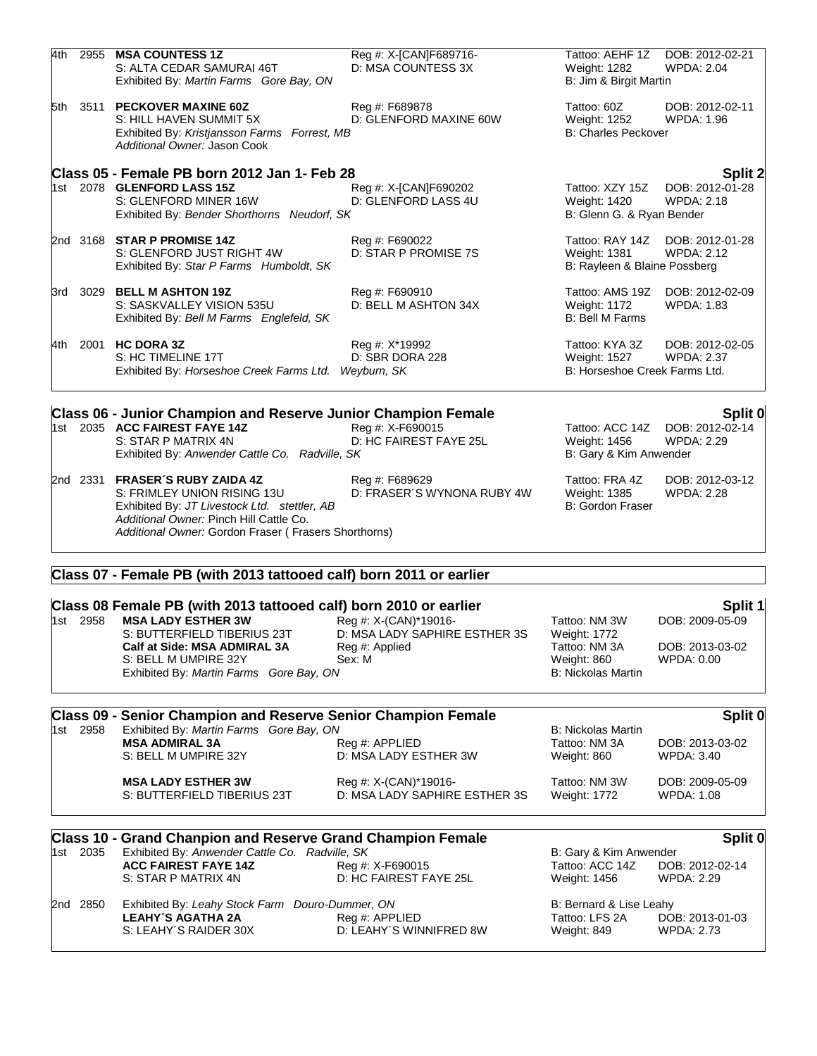| 4th |          | 2955 MSA COUNTESS 1Z<br>S: ALTA CEDAR SAMURAI 46T<br>Exhibited By: Martin Farms Gore Bay, ON                                                                                                                      | Reg #: X-[CAN]F689716-<br>D: MSA COUNTESS 3X | Tattoo: AEHF 1Z<br>Weight: 1282<br>B: Jim & Birgit Martin       | DOB: 2012-02-21<br><b>WPDA: 2.04</b>                 |
|-----|----------|-------------------------------------------------------------------------------------------------------------------------------------------------------------------------------------------------------------------|----------------------------------------------|-----------------------------------------------------------------|------------------------------------------------------|
|     |          | 5th 3511 PECKOVER MAXINE 60Z<br>S: HILL HAVEN SUMMIT 5X<br>Exhibited By: Kristjansson Farms Forrest, MB<br>Additional Owner: Jason Cook                                                                           | Reg #: F689878<br>D: GLENFORD MAXINE 60W     | Tattoo: 60Z<br>Weight: 1252<br><b>B: Charles Peckover</b>       | DOB: 2012-02-11<br>WPDA: 1.96                        |
|     |          | Class 05 - Female PB born 2012 Jan 1- Feb 28                                                                                                                                                                      |                                              |                                                                 | Split 2                                              |
|     |          | 1st 2078 <b>GLENFORD LASS 15Z</b><br>S: GLENFORD MINER 16W<br>Exhibited By: Bender Shorthorns Neudorf, SK                                                                                                         | Reg #: X-[CAN]F690202<br>D: GLENFORD LASS 4U | Tattoo: XZY 15Z<br>Weight: 1420<br>B: Glenn G. & Ryan Bender    | DOB: 2012-01-28<br><b>WPDA: 2.18</b>                 |
|     |          | 2nd 3168 STAR P PROMISE 14Z<br>S: GLENFORD JUST RIGHT 4W<br>Exhibited By: Star P Farms Humboldt, SK                                                                                                               | Reg #: F690022<br>D: STAR P PROMISE 7S       | Weight: 1381<br>B: Rayleen & Blaine Possberg                    | Tattoo: RAY 14Z DOB: 2012-01-28<br><b>WPDA: 2.12</b> |
|     |          | 3rd 3029 BELL M ASHTON 19Z<br>S: SASKVALLEY VISION 535U<br>Exhibited By: Bell M Farms Englefeld, SK                                                                                                               | Reg #: F690910<br>D: BELL M ASHTON 34X       | Tattoo: AMS 19Z<br>Weight: 1172<br><b>B: Bell M Farms</b>       | DOB: 2012-02-09<br><b>WPDA: 1.83</b>                 |
|     |          | 4th 2001 HC DORA 3Z<br>S: HC TIMELINE 17T<br>Exhibited By: Horseshoe Creek Farms Ltd. Weyburn, SK                                                                                                                 | Reg #: X*19992<br>D: SBR DORA 228            | Tattoo: KYA 3Z<br>Weight: 1527<br>B: Horseshoe Creek Farms Ltd. | DOB: 2012-02-05<br><b>WPDA: 2.37</b>                 |
|     |          | Class 06 - Junior Champion and Reserve Junior Champion Female                                                                                                                                                     |                                              |                                                                 | Split 0                                              |
|     |          | 1st 2035 ACC FAIREST FAYE 14Z<br>S: STAR P MATRIX 4N<br>Exhibited By: Anwender Cattle Co. Radville, SK                                                                                                            | Reg #: X-F690015<br>D: HC FAIREST FAYE 25L   | Tattoo: ACC 14Z<br>Weight: 1456<br>B: Gary & Kim Anwender       | DOB: 2012-02-14<br>WPDA: 2.29                        |
|     |          | 2nd 2331 FRASER'S RUBY ZAIDA 4Z<br>S: FRIMLEY UNION RISING 13U<br>Exhibited By: JT Livestock Ltd. stettler, AB<br>Additional Owner: Pinch Hill Cattle Co.<br>Additional Owner: Gordon Fraser (Frasers Shorthorns) | Reg #: F689629<br>D: FRASER'S WYNONA RUBY 4W | Tattoo: FRA 4Z<br>Weight: 1385<br>B: Gordon Fraser              | DOB: 2012-03-12<br><b>WPDA: 2.28</b>                 |
|     |          | Class 07 - Female PB (with 2013 tattooed calf) born 2011 or earlier                                                                                                                                               |                                              |                                                                 |                                                      |
|     |          | Class 08 Female PB (with 2013 tattooed calf) born 2010 or earlier                                                                                                                                                 |                                              |                                                                 | Split 1                                              |
|     | 1st 2958 | <b>MSA LADY ESTHER 3W</b>                                                                                                                                                                                         | Reg #: X-(CAN)*19016-                        | Tattoo: NM 3W                                                   | DOB: 2009-05-09                                      |
|     |          | S: BUTTERFIELD TIBERIUS 23T                                                                                                                                                                                       | D: MSA LADY SAPHIRE ESTHER 3S                | Weight: 1772                                                    |                                                      |
|     |          | Calf at Side: MSA ADMIRAL 3A<br>S: BELL M UMPIRE 32Y<br>Exhibited By: Martin Farms Gore Bay, ON                                                                                                                   | Reg #: Applied<br>Sex: M                     | Tattoo: NM 3A<br>Weight: 860<br><b>B: Nickolas Martin</b>       | DOB: 2013-03-02<br>WPDA: 0.00                        |

### **Class 09 - Senior Champion and Reserve Senior Champion Female Split 0** 1st 2958 Exhibited By: *Martin Farms Gore Bay, ON* B: Nickolas Martin **MSA ADMIRAL 3A** Reg #: APPLIED Tattoo: NM 3A DOB: 2013-03-02

| S: BELL M UMPIRE 32Y        | D: MSA LADY ESTHER 3W         | Weight: 860   | WPDA: 3.40      |
|-----------------------------|-------------------------------|---------------|-----------------|
| <b>MSA LADY ESTHER 3W</b>   | Reg #: X-(CAN)*19016-         | Tattoo: NM 3W | DOB: 2009-05-09 |
| S: BUTTERFIELD TIBERIUS 23T | D: MSA LADY SAPHIRE ESTHER 3S | Weight: 1772  | WPDA: 1.08      |

|                                                             |  |                                                | Class 10 - Grand Chanpion and Reserve Grand Champion Female |                        | Split 0         |
|-------------------------------------------------------------|--|------------------------------------------------|-------------------------------------------------------------|------------------------|-----------------|
| 1st 2035                                                    |  | Exhibited By: Anwender Cattle Co. Radville, SK |                                                             | B: Gary & Kim Anwender |                 |
|                                                             |  | <b>ACC FAIREST FAYE 14Z</b>                    | Reg #: X-F690015                                            | Tattoo: ACC 14Z        | DOB: 2012-02-14 |
|                                                             |  | S: STAR P MATRIX 4N                            | D: HC FAIREST FAYE 25L                                      | Weight: 1456           | WPDA: 2.29      |
| Exhibited By: Leahy Stock Farm Douro-Dummer, ON<br>2nd 2850 |  |                                                | B: Bernard & Lise Leahy                                     |                        |                 |
|                                                             |  | <b>LEAHY'S AGATHA 2A</b>                       | Reg #: APPLIED                                              | Tattoo: LFS 2A         | DOB: 2013-01-03 |
|                                                             |  | S: LEAHY'S RAIDER 30X                          | D: LEAHY'S WINNIFRED 8W                                     | Weight: 849            | WPDA: 2.73      |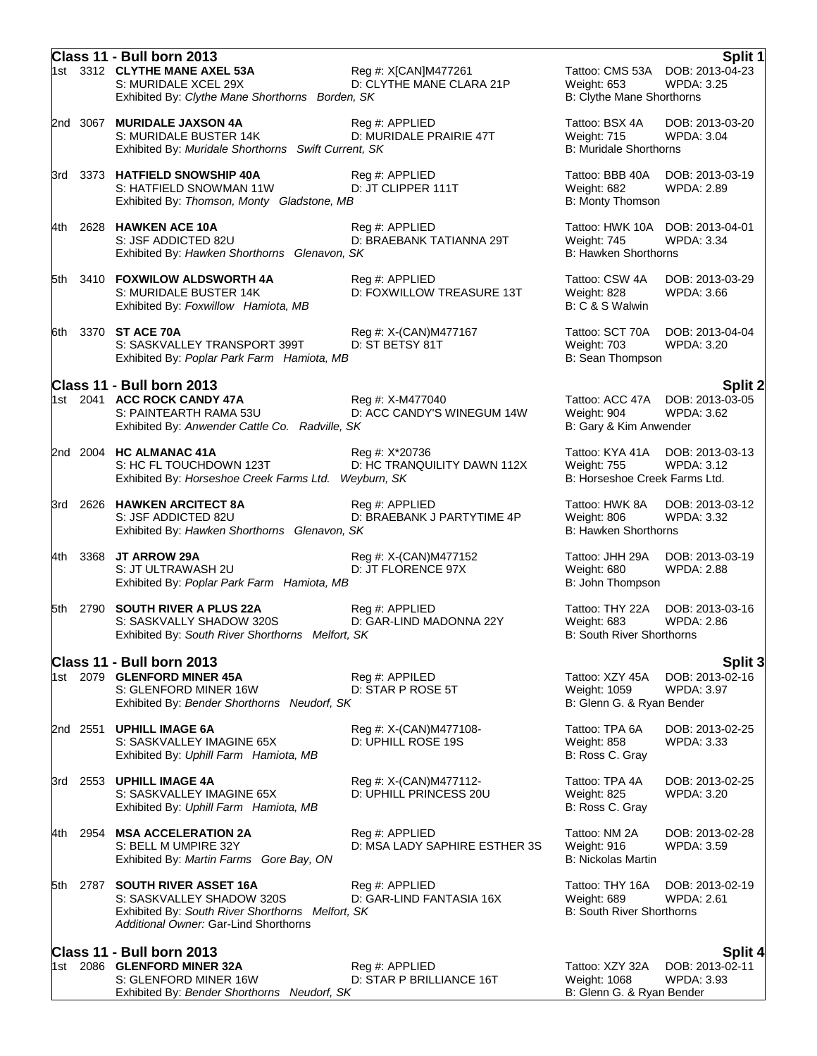|       | Class 11 - Bull born 2013                                                                                                                            |                                                  |                                                                               | Split 1                                         |
|-------|------------------------------------------------------------------------------------------------------------------------------------------------------|--------------------------------------------------|-------------------------------------------------------------------------------|-------------------------------------------------|
|       | 1st 3312 CLYTHE MANE AXEL 53A<br>S: MURIDALE XCEL 29X<br>Exhibited By: Clythe Mane Shorthorns Borden, SK                                             | Reg #: X[CAN]M477261<br>D: CLYTHE MANE CLARA 21P | Tattoo: CMS 53A<br>Weight: 653<br>B: Clythe Mane Shorthorns                   | DOB: 2013-04-23<br><b>WPDA: 3.25</b>            |
|       | 2nd 3067 MURIDALE JAXSON 4A<br>S: MURIDALE BUSTER 14K<br>Exhibited By: Muridale Shorthorns Swift Current, SK                                         | Reg #: APPLIED<br>D: MURIDALE PRAIRIE 47T        | Tattoo: BSX 4A<br>Weight: 715<br><b>B: Muridale Shorthorns</b>                | DOB: 2013-03-20<br><b>WPDA: 3.04</b>            |
|       | 3rd 3373 HATFIELD SNOWSHIP 40A<br>S: HATFIELD SNOWMAN 11W<br>Exhibited By: Thomson, Monty Gladstone, MB                                              | Reg #: APPLIED<br>D: JT CLIPPER 111T             | Tattoo: BBB 40A<br>Weight: 682<br>B: Monty Thomson                            | DOB: 2013-03-19<br>WPDA: 2.89                   |
| 4th   | 2628 HAWKEN ACE 10A<br>S: JSF ADDICTED 82U<br>Exhibited By: Hawken Shorthorns Glenavon, SK                                                           | Reg #: APPLIED<br>D: BRAEBANK TATIANNA 29T       | Tattoo: HWK 10A DOB: 2013-04-01<br>Weight: 745<br><b>B: Hawken Shorthorns</b> | WPDA: 3.34                                      |
| 5th   | 3410 FOXWILOW ALDSWORTH 4A<br>S: MURIDALE BUSTER 14K<br>Exhibited By: Foxwillow Hamiota, MB                                                          | Reg #: APPLIED<br>D: FOXWILLOW TREASURE 13T      | Tattoo: CSW 4A<br>Weight: 828<br>B: C & S Walwin                              | DOB: 2013-03-29<br>WPDA: 3.66                   |
| 6th   | 3370 ST ACE 70A<br>S: SASKVALLEY TRANSPORT 399T<br>Exhibited By: Poplar Park Farm Hamiota, MB                                                        | Reg #: X-(CAN)M477167<br>D: ST BETSY 81T         | Tattoo: SCT 70A<br>Weight: 703<br>B: Sean Thompson                            | DOB: 2013-04-04<br>WPDA: 3.20                   |
|       | Class 11 - Bull born 2013<br>1st 2041 ACC ROCK CANDY 47A<br>S: PAINTEARTH RAMA 53U<br>Exhibited By: Anwender Cattle Co. Radville, SK                 | Reg #: X-M477040<br>D: ACC CANDY'S WINEGUM 14W   | Tattoo: ACC 47A<br>Weight: 904<br>B: Gary & Kim Anwender                      | <b>Split 2</b><br>DOB: 2013-03-05<br>WPDA: 3.62 |
|       | 2nd 2004 HC ALMANAC 41A<br>S: HC FL TOUCHDOWN 123T<br>Exhibited By: Horseshoe Creek Farms Ltd. Weyburn, SK                                           | Reg #: X*20736<br>D: HC TRANQUILITY DAWN 112X    | Tattoo: KYA 41A<br>Weight: 755<br>B: Horseshoe Creek Farms Ltd.               | DOB: 2013-03-13<br>WPDA: 3.12                   |
|       | 3rd 2626 HAWKEN ARCITECT 8A<br>S: JSF ADDICTED 82U<br>Exhibited By: Hawken Shorthorns Glenavon, SK                                                   | Reg #: APPLIED<br>D: BRAEBANK J PARTYTIME 4P     | Tattoo: HWK 8A<br>Weight: 806<br><b>B: Hawken Shorthorns</b>                  | DOB: 2013-03-12<br><b>WPDA: 3.32</b>            |
| 4th - | 3368 JT ARROW 29A<br>S: JT ULTRAWASH 2U<br>Exhibited By: Poplar Park Farm Hamiota, MB                                                                | Reg #: X-(CAN)M477152<br>D: JT FLORENCE 97X      | Tattoo: JHH 29A<br>Weight: 680<br>B: John Thompson                            | DOB: 2013-03-19<br>WPDA: 2.88                   |
| 5th   | 2790 SOUTH RIVER A PLUS 22A<br>S: SASKVALLY SHADOW 320S<br>Exhibited By: South River Shorthorns Melfort, SK                                          | Reg #: APPLIED<br>D: GAR-LIND MADONNA 22Y        | Tattoo: THY 22A<br>Weight: 683<br><b>B: South River Shorthorns</b>            | DOB: 2013-03-16<br><b>WPDA: 2.86</b>            |
|       | Class 11 - Bull born 2013<br>1st 2079 GLENFORD MINER 45A<br>S: GLENFORD MINER 16W<br>Exhibited By: Bender Shorthorns Neudorf, SK                     | Reg #: APPILED<br>D: STAR P ROSE 5T              | Tattoo: XZY 45A<br>Weight: 1059<br>B: Glenn G. & Ryan Bender                  | Split 3<br>DOB: 2013-02-16<br><b>WPDA: 3.97</b> |
|       | 2nd 2551 UPHILL IMAGE 6A<br>S: SASKVALLEY IMAGINE 65X<br>Exhibited By: Uphill Farm Hamiota, MB                                                       | Reg #: X-(CAN)M477108-<br>D: UPHILL ROSE 19S     | Tattoo: TPA 6A<br>Weight: 858<br>B: Ross C. Gray                              | DOB: 2013-02-25<br><b>WPDA: 3.33</b>            |
|       | 3rd 2553 UPHILL IMAGE 4A<br>S: SASKVALLEY IMAGINE 65X<br>Exhibited By: Uphill Farm Hamiota, MB                                                       | Reg #: X-(CAN)M477112-<br>D: UPHILL PRINCESS 20U | Tattoo: TPA 4A<br>Weight: 825<br>B: Ross C. Gray                              | DOB: 2013-02-25<br>WPDA: 3.20                   |
| 4th   | 2954 MSA ACCELERATION 2A<br>S: BELL M UMPIRE 32Y<br>Exhibited By: Martin Farms Gore Bay, ON                                                          | Reg #: APPLIED<br>D: MSA LADY SAPHIRE ESTHER 3S  | Tattoo: NM 2A<br>Weight: 916<br><b>B: Nickolas Martin</b>                     | DOB: 2013-02-28<br>WPDA: 3.59                   |
| 5th   | 2787 SOUTH RIVER ASSET 16A<br>S: SASKVALLEY SHADOW 320S<br>Exhibited By: South River Shorthorns Melfort, SK<br>Additional Owner: Gar-Lind Shorthorns | Reg #: APPLIED<br>D: GAR-LIND FANTASIA 16X       | Tattoo: THY 16A<br>Weight: 689<br><b>B: South River Shorthorns</b>            | DOB: 2013-02-19<br><b>WPDA: 2.61</b>            |
|       | Class 11 - Bull born 2013                                                                                                                            |                                                  |                                                                               | <b>Split 4</b>                                  |
|       | 1st 2086 GLENFORD MINER 32A<br>S: GLENFORD MINER 16W<br>Exhibited By: Bender Shorthorns Neudorf, SK                                                  | Reg #: APPLIED<br>D: STAR P BRILLIANCE 16T       | Tattoo: XZY 32A<br>Weight: 1068<br>B: Glenn G. & Ryan Bender                  | DOB: 2013-02-11<br><b>WPDA: 3.93</b>            |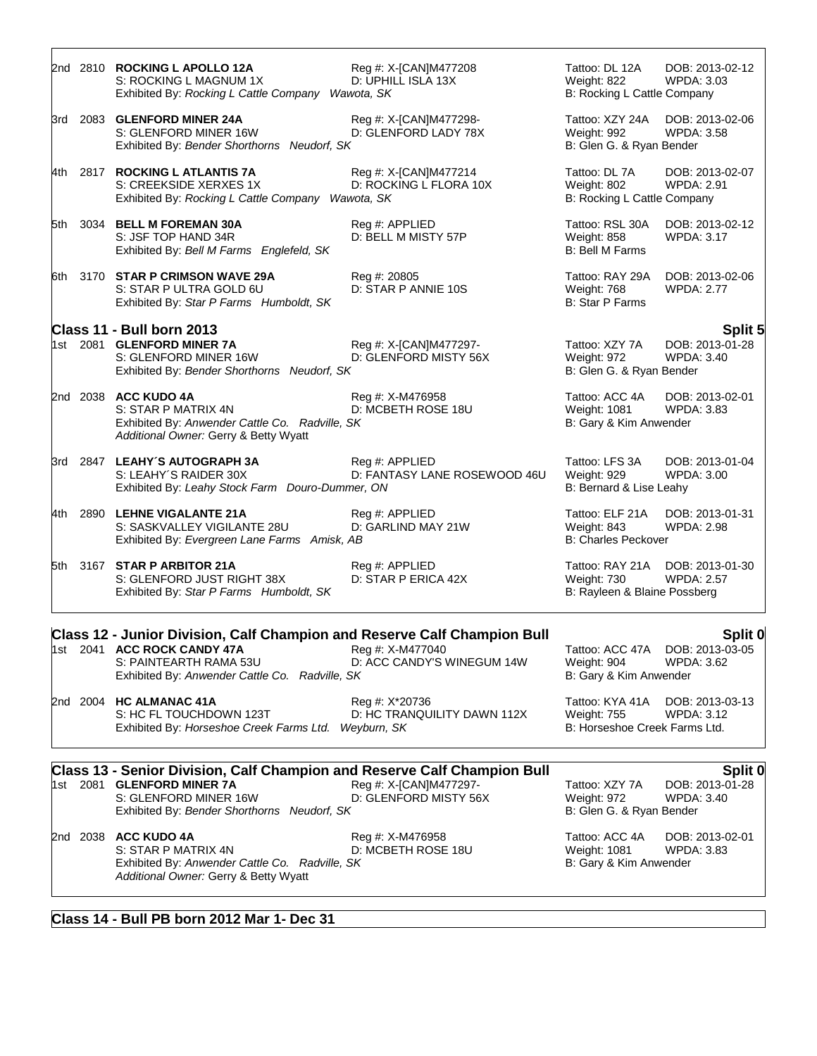|       |      | 2nd 2810 ROCKING L APOLLO 12A<br>S: ROCKING L MAGNUM 1X<br>Exhibited By: Rocking L Cattle Company Wawota, SK                           | Reg #: X-[CAN]M477208<br>D: UPHILL ISLA 13X     | Tattoo: DL 12A<br>Weight: 822<br>B: Rocking L Cattle Company    | DOB: 2013-02-12<br>WPDA: 3.03                          |
|-------|------|----------------------------------------------------------------------------------------------------------------------------------------|-------------------------------------------------|-----------------------------------------------------------------|--------------------------------------------------------|
|       |      | 3rd 2083 GLENFORD MINER 24A<br>S: GLENFORD MINER 16W<br>Exhibited By: Bender Shorthorns Neudorf, SK                                    | Reg #: X-[CAN]M477298-<br>D: GLENFORD LADY 78X  | Tattoo: XZY 24A<br>Weight: 992<br>B: Glen G. & Ryan Bender      | DOB: 2013-02-06<br><b>WPDA: 3.58</b>                   |
| 4th   | 2817 | <b>ROCKING L ATLANTIS 7A</b><br>S: CREEKSIDE XERXES 1X<br>Exhibited By: Rocking L Cattle Company Wawota, SK                            | Reg #: X-[CAN]M477214<br>D: ROCKING L FLORA 10X | Tattoo: DL 7A<br>Weight: 802<br>B: Rocking L Cattle Company     | DOB: 2013-02-07<br><b>WPDA: 2.91</b>                   |
| 5th   |      | 3034 BELL M FOREMAN 30A<br>S: JSF TOP HAND 34R<br>Exhibited By: Bell M Farms Englefeld, SK                                             | Reg #: APPLIED<br>D: BELL M MISTY 57P           | Tattoo: RSL 30A<br>Weight: 858<br><b>B: Bell M Farms</b>        | DOB: 2013-02-12<br><b>WPDA: 3.17</b>                   |
| 6th.  |      | 3170 STAR P CRIMSON WAVE 29A<br>S: STAR P ULTRA GOLD 6U<br>Exhibited By: Star P Farms Humboldt, SK                                     | Reg #: 20805<br>D: STAR P ANNIE 10S             | Tattoo: RAY 29A<br>Weight: 768<br><b>B: Star P Farms</b>        | DOB: 2013-02-06<br><b>WPDA: 2.77</b>                   |
|       |      | Class 11 - Bull born 2013<br>1st 2081 GLENFORD MINER 7A<br>S: GLENFORD MINER 16W<br>Exhibited By: Bender Shorthorns Neudorf, SK        | Reg #: X-[CAN]M477297-<br>D: GLENFORD MISTY 56X | Tattoo: XZY 7A<br>Weight: 972<br>B: Glen G. & Ryan Bender       | <b>Split 5</b><br>DOB: 2013-01-28<br><b>WPDA: 3.40</b> |
|       |      | 2nd 2038 ACC KUDO 4A<br>S: STAR P MATRIX 4N<br>Exhibited By: Anwender Cattle Co. Radville, SK<br>Additional Owner: Gerry & Betty Wyatt | Reg #: X-M476958<br>D: MCBETH ROSE 18U          | Tattoo: ACC 4A<br><b>Weight: 1081</b><br>B: Gary & Kim Anwender | DOB: 2013-02-01<br>WPDA: 3.83                          |
|       |      | 3rd 2847 LEAHY'S AUTOGRAPH 3A<br>S: LEAHY'S RAIDER 30X<br>Exhibited By: Leahy Stock Farm Douro-Dummer, ON                              | Reg #: APPLIED<br>D: FANTASY LANE ROSEWOOD 46U  | Tattoo: LFS 3A<br>Weight: 929<br>B: Bernard & Lise Leahy        | DOB: 2013-01-04<br><b>WPDA: 3.00</b>                   |
| 4th - |      | 2890 LEHNE VIGALANTE 21A<br>S: SASKVALLEY VIGILANTE 28U<br>Exhibited By: Evergreen Lane Farms Amisk, AB                                | Reg #: APPLIED<br>D: GARLIND MAY 21W            | Tattoo: ELF 21A<br>Weight: 843<br><b>B: Charles Peckover</b>    | DOB: 2013-01-31<br><b>WPDA: 2.98</b>                   |
|       |      | 5th 3167 STAR P ARBITOR 21A<br>S: GLENFORD JUST RIGHT 38X<br>Exhibited By: Star P Farms Humboldt, SK                                   | Reg #: APPLIED<br>D: STAR P ERICA 42X           | Tattoo: RAY 21A<br>Weight: 730<br>B: Rayleen & Blaine Possberg  | DOB: 2013-01-30<br><b>WPDA: 2.57</b>                   |
|       |      | Class 12 - Junior Division, Calf Champion and Reserve Calf Champion Bull<br>1st 2041 ACC ROCK CANDY 47A                                | Reg #: X-M477040                                | Tattoo: ACC 47A                                                 | Split 0<br>DOB: 2013-03-05                             |
|       |      | S: PAINTEARTH RAMA 53U<br>Exhibited By: Anwender Cattle Co. Radville, SK                                                               | D: ACC CANDY'S WINEGUM 14W                      | Weight: 904<br>B: Gary & Kim Anwender                           | <b>WPDA: 3.62</b>                                      |
|       |      |                                                                                                                                        |                                                 |                                                                 |                                                        |

2nd 2004 **HC ALMANAC 41A** Reg #: X\*20736 Tattoo: KYA 41A DOB: 2013-03-13 S: HC FL TOUCHDOWN 123T D: HC TRANQUILITY DAWN 112X Weight: 755 WPDA: 3.12 Exhibited By: *Horseshoe Creek Farms Ltd. Weyburn, SK* B: Horseshoe Creek Farms Ltd.

### **Class 13 - Senior Division, Calf Champion and Reserve Calf Champion Bull Split 0**

1st 2081 **GLENFORD MINER 7A** Reg #: X-[CAN]M477297- Tattoo: XZY 7A DOB: 2013-01-28<br>S: GLENFORD MINER 16W D: GLENFORD MISTY 56X Weight: 972 WPDA: 3.40 S: GLENFORD MINER 16W D: GLENFORD MISTY 56X Weight: 972 WPDA<br>Exhibited By: Bender Shorthorns Neudorf, SK B: Glen G. & Ryan Bender Exhibited By: Bender Shorthorns Neudorf, SK 2nd 2038 **ACC KUDO 4A** Reg #: X-M476958 Tattoo: ACC 4A DOB: 2013-02-01 D: MCBETH ROSE 18U Weight: 1081 WPD.<br>SK B: Gary & Kim Anwender Exhibited By: Anwender Cattle Co. Radville, SK *Additional Owner:* Gerry & Betty Wyatt

### **Class 14 - Bull PB born 2012 Mar 1- Dec 31**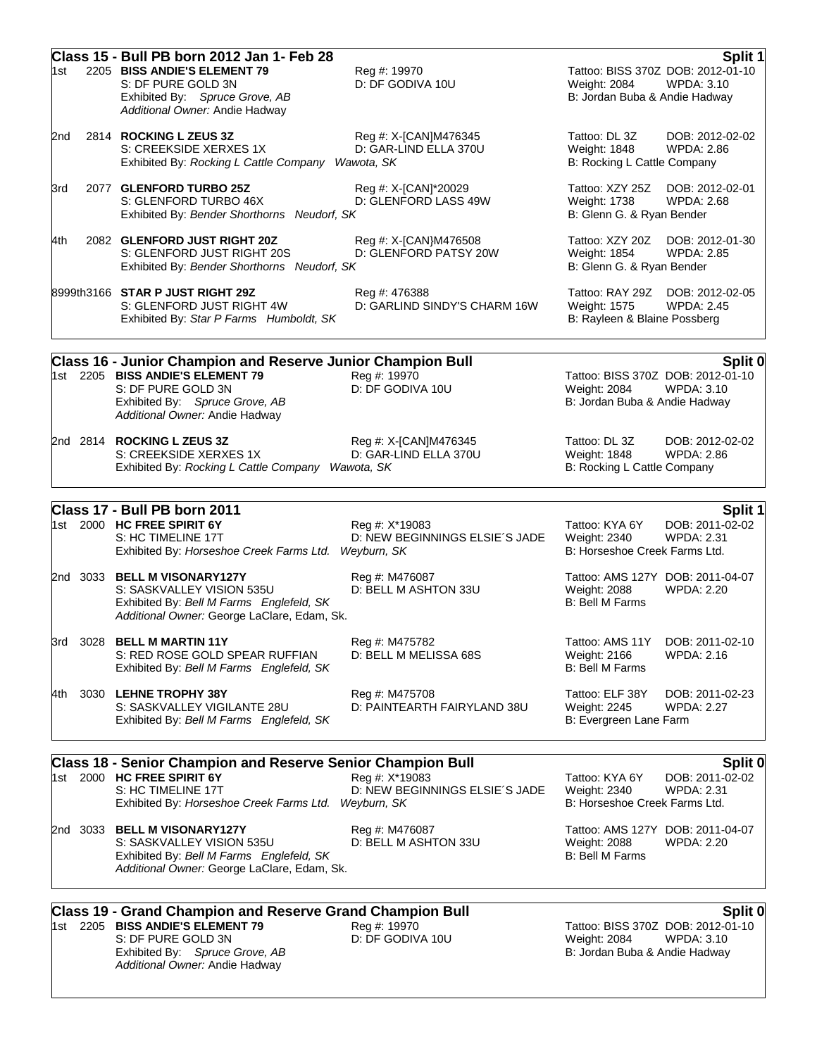| 1st   | Class 15 - Bull PB born 2012 Jan 1- Feb 28<br>2205 BISS ANDIE'S ELEMENT 79<br>S: DF PURE GOLD 3N<br>Exhibited By: Spruce Grove, AB<br>Additional Owner: Andie Hadway                             | Reg #: 19970<br>D: DF GODIVA 10U                                | Weight: 2084<br>B: Jordan Buba & Andie Hadway                   | Split 1<br>Tattoo: BISS 370Z DOB: 2012-01-10<br><b>WPDA: 3.10</b> |
|-------|--------------------------------------------------------------------------------------------------------------------------------------------------------------------------------------------------|-----------------------------------------------------------------|-----------------------------------------------------------------|-------------------------------------------------------------------|
| 2nd   | 2814 ROCKING L ZEUS 3Z<br>S: CREEKSIDE XERXES 1X<br>Exhibited By: Rocking L Cattle Company Wawota, SK                                                                                            | Reg #: X-[CAN]M476345<br>D: GAR-LIND ELLA 370U                  | Tattoo: DL 3Z<br>Weight: 1848<br>B: Rocking L Cattle Company    | DOB: 2012-02-02<br><b>WPDA: 2.86</b>                              |
| 3rd   | 2077 GLENFORD TURBO 25Z<br>S: GLENFORD TURBO 46X<br>Exhibited By: Bender Shorthorns Neudorf, SK                                                                                                  | Reg #: X-[CAN]*20029<br>D: GLENFORD LASS 49W                    | Tattoo: XZY 25Z<br>Weight: 1738<br>B: Glenn G. & Ryan Bender    | DOB: 2012-02-01<br><b>WPDA: 2.68</b>                              |
| 4th   | 2082 GLENFORD JUST RIGHT 20Z<br>S: GLENFORD JUST RIGHT 20S<br>Exhibited By: Bender Shorthorns Neudorf, SK                                                                                        | Reg #: X-[CAN}M476508<br>D: GLENFORD PATSY 20W                  | Tattoo: XZY 20Z<br>Weight: 1854<br>B: Glenn G. & Ryan Bender    | DOB: 2012-01-30<br><b>WPDA: 2.85</b>                              |
|       | 8999th3166 STAR P JUST RIGHT 29Z<br>S: GLENFORD JUST RIGHT 4W<br>Exhibited By: Star P Farms Humboldt, SK                                                                                         | Reg #: 476388<br>D: GARLIND SINDY'S CHARM 16W                   | Tattoo: RAY 29Z<br>Weight: 1575<br>B: Rayleen & Blaine Possberg | DOB: 2012-02-05<br><b>WPDA: 2.45</b>                              |
|       | <b>Class 16 - Junior Champion and Reserve Junior Champion Bull</b><br>1st 2205 BISS ANDIE'S ELEMENT 79<br>S: DF PURE GOLD 3N<br>Exhibited By: Spruce Grove, AB<br>Additional Owner: Andie Hadway | Reg #: 19970<br>D: DF GODIVA 10U                                | Weight: 2084<br>B: Jordan Buba & Andie Hadway                   | Split 0<br>Tattoo: BISS 370Z DOB: 2012-01-10<br>WPDA: 3.10        |
|       | 2nd 2814 ROCKING L ZEUS 3Z<br>S: CREEKSIDE XERXES 1X<br>Exhibited By: Rocking L Cattle Company Wawota, SK                                                                                        | Reg #: X-[CAN]M476345<br>D: GAR-LIND ELLA 370U                  | Tattoo: DL 3Z<br>Weight: 1848<br>B: Rocking L Cattle Company    | DOB: 2012-02-02<br>WPDA: 2.86                                     |
|       |                                                                                                                                                                                                  |                                                                 |                                                                 |                                                                   |
|       | Class 17 - Bull PB born 2011<br>1st 2000 HC FREE SPIRIT 6Y<br>S: HC TIMELINE 17T<br>Exhibited By: Horseshoe Creek Farms Ltd. Weyburn, SK                                                         | Reg #: X*19083<br>D: NEW BEGINNINGS ELSIE'S JADE                | Tattoo: KYA 6Y<br>Weight: 2340<br>B: Horseshoe Creek Farms Ltd. | Split 1<br>DOB: 2011-02-02<br><b>WPDA: 2.31</b>                   |
|       | 2nd 3033 BELL M VISONARY127Y<br>S: SASKVALLEY VISION 535U<br>Exhibited By: Bell M Farms Englefeld, SK<br>Additional Owner: George LaClare, Edam, Sk.                                             | Reg #: M476087<br>D: BELL M ASHTON 33U                          | Weight: 2088<br><b>B: Bell M Farms</b>                          | Tattoo: AMS 127Y DOB: 2011-04-07<br><b>WPDA: 2.20</b>             |
| 3rd   | 3028 BELL M MARTIN 11Y<br>S: RED ROSE GOLD SPEAR RUFFIAN<br>Exhibited By: Bell M Farms Englefeld, SK                                                                                             | Reg #: M475782<br>D: BELL M MELISSA 68S                         | Tattoo: AMS 11Y<br>Weight: 2166<br><b>B: Bell M Farms</b>       | DOB: 2011-02-10<br><b>WPDA: 2.16</b>                              |
| 4th l | 3030 LEHNE TROPHY 38Y<br>S: SASKVALLEY VIGILANTE 28U<br>Exhibited By: Bell M Farms Englefeld, SK                                                                                                 | Reg #: M475708<br>D: PAINTEARTH FAIRYLAND 38U                   | Tattoo: ELF 38Y<br>Weight: 2245<br>B: Evergreen Lane Farm       | DOB: 2011-02-23<br><b>WPDA: 2.27</b>                              |
|       | <b>Class 18 - Senior Champion and Reserve Senior Champion Bull</b>                                                                                                                               |                                                                 |                                                                 | Split 0                                                           |
| 1st l | 2000 HC FREE SPIRIT 6Y<br>S: HC TIMELINE 17T<br>Exhibited By: Horseshoe Creek Farms Ltd.                                                                                                         | Reg #: X*19083<br>D: NEW BEGINNINGS ELSIE'S JADE<br>Weyburn, SK | Tattoo: KYA 6Y<br>Weight: 2340<br>B: Horseshoe Creek Farms Ltd. | DOB: 2011-02-02<br><b>WPDA: 2.31</b>                              |
|       | 2nd 3033 BELL M VISONARY127Y<br>S: SASKVALLEY VISION 535U<br>Exhibited By: Bell M Farms Englefeld, SK<br>Additional Owner: George LaClare, Edam, Sk.                                             | Reg #: M476087<br>D: BELL M ASHTON 33U                          | Weight: 2088<br><b>B: Bell M Farms</b>                          | Tattoo: AMS 127Y DOB: 2011-04-07<br><b>WPDA: 2.20</b>             |
|       | <b>Class 19 - Grand Champion and Reserve Grand Champion Bull</b>                                                                                                                                 |                                                                 |                                                                 | Split 0                                                           |

1st 2205 **BISS ANDIE'S ELEMENT 79** Reg #: 19970 Tattoo: BISS 370Z DOB: 2012-01-10 *Additional Owner:* Andie Hadway

S: DF PURE GOLD 3N D: DF GODIVA 10U Weight: 2084 WPDA: 3.10 Exhibited By: *Spruce Grove, AB* B: Jordan Buba & Andie Hadway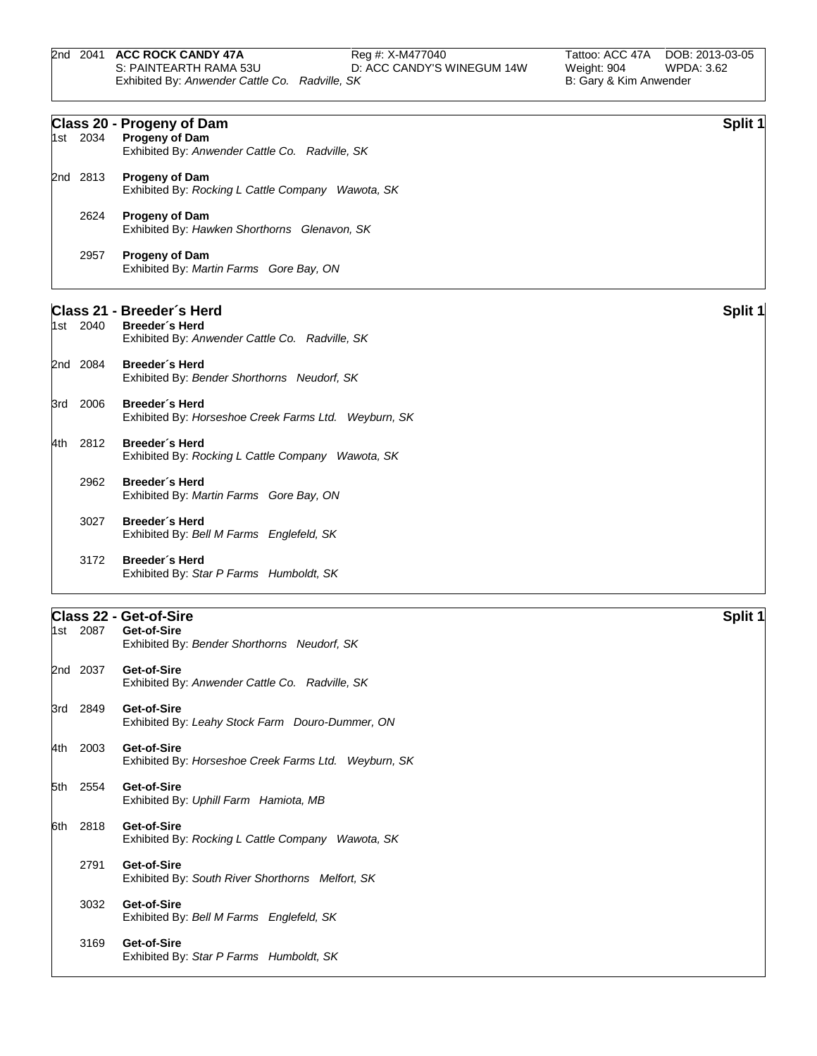|     |          | 2nd 2041 ACC ROCK CANDY 47A<br>S: PAINTEARTH RAMA 53U<br>Exhibited By: Anwender Cattle Co. Radville, SK | Reg #: X-M477040<br>D: ACC CANDY'S WINEGUM 14W | Tattoo: ACC 47A<br>Weight: 904<br>B: Gary & Kim Anwender | DOB: 2013-03-05<br>WPDA: 3.62 |
|-----|----------|---------------------------------------------------------------------------------------------------------|------------------------------------------------|----------------------------------------------------------|-------------------------------|
|     |          | Class 20 - Progeny of Dam                                                                               |                                                |                                                          | Split 1                       |
|     | 1st 2034 | Progeny of Dam<br>Exhibited By: Anwender Cattle Co. Radville, SK                                        |                                                |                                                          |                               |
|     | 2nd 2813 | Progeny of Dam<br>Exhibited By: Rocking L Cattle Company Wawota, SK                                     |                                                |                                                          |                               |
|     | 2624     | <b>Progeny of Dam</b><br>Exhibited By: Hawken Shorthorns Glenavon, SK                                   |                                                |                                                          |                               |
|     | 2957     | <b>Progeny of Dam</b><br>Exhibited By: Martin Farms Gore Bay, ON                                        |                                                |                                                          |                               |
|     |          | Class 21 - Breeder's Herd                                                                               |                                                |                                                          | Split 1                       |
|     | 1st 2040 | Breeder's Herd<br>Exhibited By: Anwender Cattle Co. Radville, SK                                        |                                                |                                                          |                               |
|     | 2nd 2084 | Breeder's Herd<br>Exhibited By: Bender Shorthorns Neudorf, SK                                           |                                                |                                                          |                               |
|     | 3rd 2006 | Breeder's Herd<br>Exhibited By: Horseshoe Creek Farms Ltd. Weyburn, SK                                  |                                                |                                                          |                               |
| 4th | 2812     | Breeder's Herd<br>Exhibited By: Rocking L Cattle Company Wawota, SK                                     |                                                |                                                          |                               |
|     | 2962     | Breeder's Herd<br>Exhibited By: Martin Farms Gore Bay, ON                                               |                                                |                                                          |                               |
|     | 3027     | Breeder's Herd<br>Exhibited By: Bell M Farms Englefeld, SK                                              |                                                |                                                          |                               |
|     | 3172     | Breeder's Herd<br>Exhibited By: Star P Farms Humboldt, SK                                               |                                                |                                                          |                               |
|     |          | <b>Class 22 - Get-of-Sire</b>                                                                           |                                                |                                                          | Split 1                       |
|     | 1st 2087 | Get-of-Sire<br>Exhibited By: Bender Shorthorns Neudorf, SK                                              |                                                |                                                          |                               |
|     | 2nd 2037 | Get-of-Sire<br>Exhibited By: Anwender Cattle Co. Radville, SK                                           |                                                |                                                          |                               |
|     | 3rd 2849 | Get-of-Sire                                                                                             |                                                |                                                          |                               |

- Exhibited By: *Leahy Stock Farm Douro-Dummer, ON*
- 4th 2003 **Get-of-Sire** Exhibited By: *Horseshoe Creek Farms Ltd. Weyburn, SK*
- 5th 2554 **Get-of-Sire** Exhibited By: *Uphill Farm Hamiota, MB*
- 6th 2818 **Get-of-Sire** Exhibited By: *Rocking L Cattle Company Wawota, SK*
	- 2791 **Get-of-Sire** Exhibited By: *South River Shorthorns Melfort, SK*
		- 3032 **Get-of-Sire** Exhibited By: *Bell M Farms Englefeld, SK*
	- 3169 **Get-of-Sire** Exhibited By: *Star P Farms Humboldt, SK*